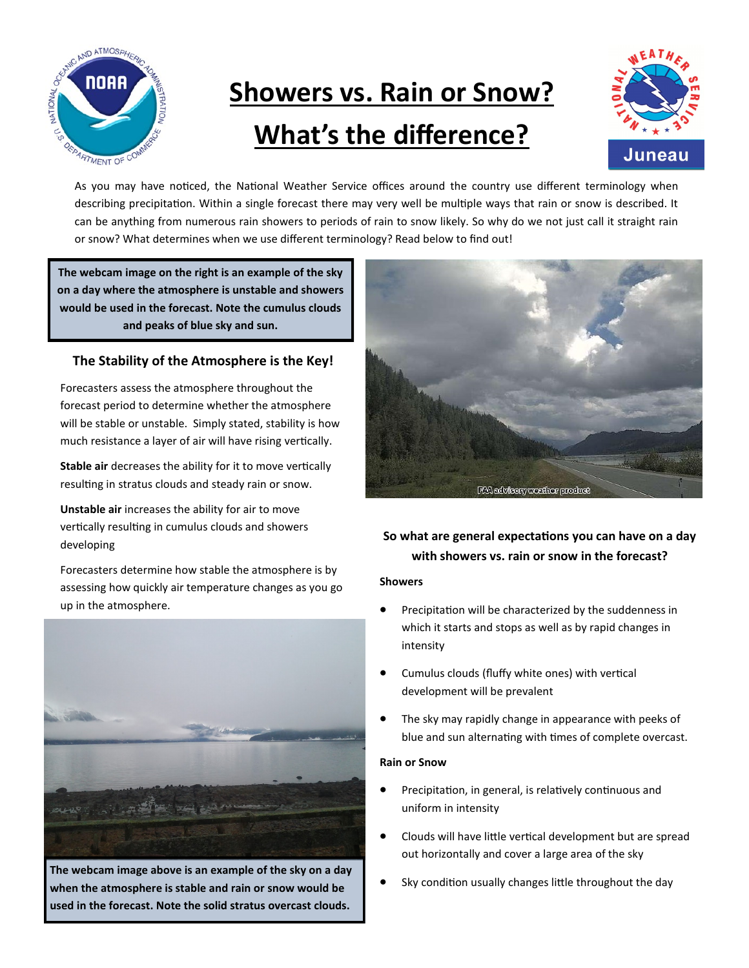

# **Showers vs. Rain or Snow? What's the difference?**



As you may have noticed, the National Weather Service offices around the country use different terminology when describing precipitation. Within a single forecast there may very well be multiple ways that rain or snow is described. It can be anything from numerous rain showers to periods of rain to snow likely. So why do we not just call it straight rain or snow? What determines when we use different terminology? Read below to find out!

**The webcam image on the right is an example of the sky on a day where the atmosphere is unstable and showers would be used in the forecast. Note the cumulus clouds and peaks of blue sky and sun.**

#### **The Stability of the Atmosphere is the Key!**

Forecasters assess the atmosphere throughout the forecast period to determine whether the atmosphere will be stable or unstable. Simply stated, stability is how much resistance a layer of air will have rising vertically.

**Stable air** decreases the ability for it to move vertically resulting in stratus clouds and steady rain or snow.

**Unstable air** increases the ability for air to move vertically resulting in cumulus clouds and showers developing

Forecasters determine how stable the atmosphere is by assessing how quickly air temperature changes as you go up in the atmosphere.



**The webcam image above is an example of the sky on a day when the atmosphere is stable and rain or snow would be used in the forecast. Note the solid stratus overcast clouds.**



### **So what are general expectations you can have on a day with showers vs. rain or snow in the forecast?**

#### **Showers**

- Precipitation will be characterized by the suddenness in which it starts and stops as well as by rapid changes in intensity
- Cumulus clouds (fluffy white ones) with vertical development will be prevalent
- The sky may rapidly change in appearance with peeks of blue and sun alternating with times of complete overcast.

#### **Rain or Snow**

- Precipitation, in general, is relatively continuous and uniform in intensity
- Clouds will have little vertical development but are spread out horizontally and cover a large area of the sky
- Sky condition usually changes little throughout the day